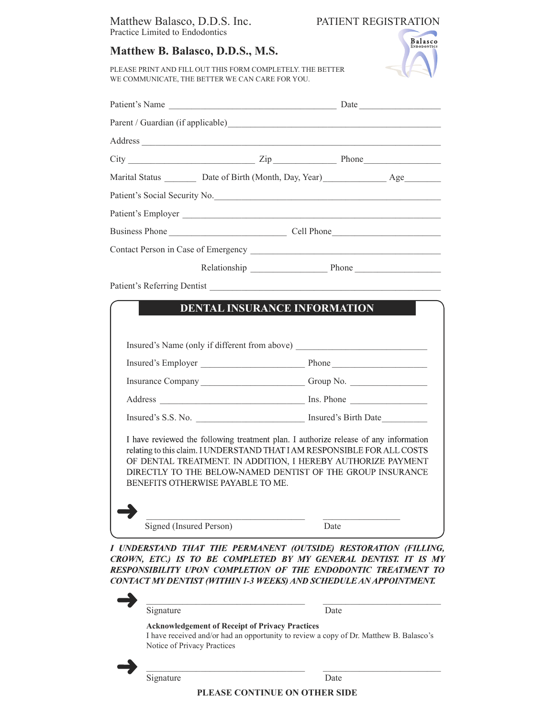## Matthew Balasco, D.D.S. Inc. PATIENT REGISTRATION Practice Limited to Endodontics

## **Matthew B. Balasco, D.D.S., M.S.**



PLEASE PRINT AND FILL OUT THIS FORM COMPLETELY. THE BETTER WE COMMUNICATE, THE BETTER WE CAN CARE FOR YOU.

|                             |                                     | $City$ Phone                                                                    |
|-----------------------------|-------------------------------------|---------------------------------------------------------------------------------|
|                             |                                     | Marital Status __________ Date of Birth (Month, Day, Year) ________________ Age |
|                             |                                     |                                                                                 |
|                             |                                     | Patient's Employer                                                              |
|                             |                                     | Business Phone Cell Phone                                                       |
|                             |                                     |                                                                                 |
|                             |                                     | Relationship Phone Phone                                                        |
|                             | <b>DENTAL INSURANCE INFORMATION</b> |                                                                                 |
|                             |                                     | Insured's Name (only if different from above)                                   |
| Patient's Referring Dentist |                                     | Insurance Company _______________________________Group No.                      |
|                             |                                     |                                                                                 |
|                             |                                     |                                                                                 |

I UNDERSTAND THAT THE PERMANENT (OUTSIDE) RESTORATION (FILLING, CROWN, ETC.) IS TO BE COMPLETED BY MY GENERAL DENTIST. IT IS MY RESPONSIBILITY UPON COMPLETION OF THE ENDODONTIC TREATMENT TO CONTACT MY DENTIST (WITHIN 1-3 WEEKS) AND SCHEDULE AN APPOINTMENT.

| Signature                                                                             | Date                                                                                   |
|---------------------------------------------------------------------------------------|----------------------------------------------------------------------------------------|
| <b>Acknowledgement of Receipt of Privacy Practices</b><br>Notice of Privacy Practices | I have received and/or had an opportunity to review a copy of Dr. Matthew B. Balasco's |
| Signature                                                                             | Date                                                                                   |